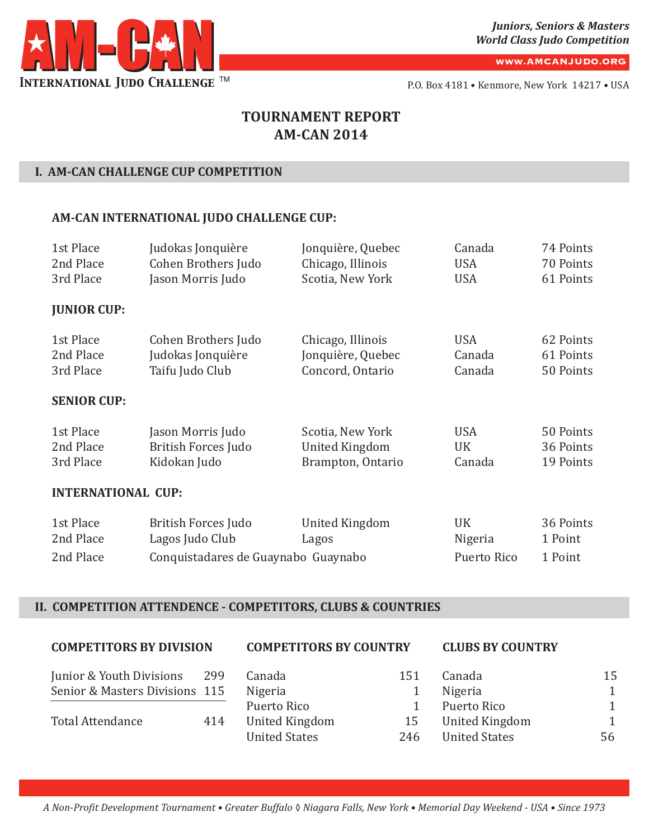

**www.AMCANJUDO.ORG**

P.O. Box 4181 • Kenmore, New York 14217 • USA

# **TOURNAMENT REPORT AM-CAN 2014**

#### **I. AM-CAN CHALLENGE CUP COMPETITION**

#### **AM-CAN INTERNATIONAL JUDO CHALLENGE CUP:**

| 1st Place                 | Judokas Jonquière                   | Jonquière, Quebec     | Canada      | 74 Points |  |
|---------------------------|-------------------------------------|-----------------------|-------------|-----------|--|
| 2nd Place                 | Cohen Brothers Judo                 | Chicago, Illinois     | <b>USA</b>  | 70 Points |  |
| 3rd Place                 | Jason Morris Judo                   | Scotia, New York      | <b>USA</b>  | 61 Points |  |
| <b>JUNIOR CUP:</b>        |                                     |                       |             |           |  |
| 1st Place                 | Cohen Brothers Judo                 | Chicago, Illinois     | <b>USA</b>  | 62 Points |  |
| 2nd Place                 | Judokas Jonquière                   | Jonquière, Quebec     | Canada      | 61 Points |  |
| 3rd Place                 | Taifu Judo Club                     | Concord, Ontario      | Canada      | 50 Points |  |
| <b>SENIOR CUP:</b>        |                                     |                       |             |           |  |
| 1st Place                 | Jason Morris Judo                   | Scotia, New York      | <b>USA</b>  | 50 Points |  |
| 2nd Place                 | British Forces Judo                 | <b>United Kingdom</b> | UK          | 36 Points |  |
| 3rd Place                 | Kidokan Judo                        | Brampton, Ontario     | Canada      | 19 Points |  |
| <b>INTERNATIONAL CUP:</b> |                                     |                       |             |           |  |
| 1st Place                 | British Forces Judo                 | United Kingdom        | UK          | 36 Points |  |
| 2nd Place                 | Lagos Judo Club                     | Lagos                 | Nigeria     | 1 Point   |  |
| 2nd Place                 | Conquistadares de Guaynabo Guaynabo |                       | Puerto Rico | 1 Point   |  |

#### **II. COMPETITION ATTENDENCE - COMPETITORS, CLUBS & COUNTRIES**

#### **COMPETITORS BY DIVISION**

| Junior & Youth Divisions       | -299 |  |
|--------------------------------|------|--|
| Senior & Masters Divisions 115 |      |  |
| Total Attendance               | 414  |  |

| Canada                | 151 |
|-----------------------|-----|
| Nigeria               |     |
| Puerto Rico           |     |
| <b>United Kingdom</b> | 15  |
| <b>United States</b>  | 246 |
|                       |     |

#### **CLUBS BY COUNTRY**

| $\mathbf{1}$ | Canada                | 15 |
|--------------|-----------------------|----|
| 1            | Nigeria               |    |
| 1            | Puerto Rico           |    |
| 5            | <b>United Kingdom</b> |    |
| 6            | <b>United States</b>  | 56 |
|              |                       |    |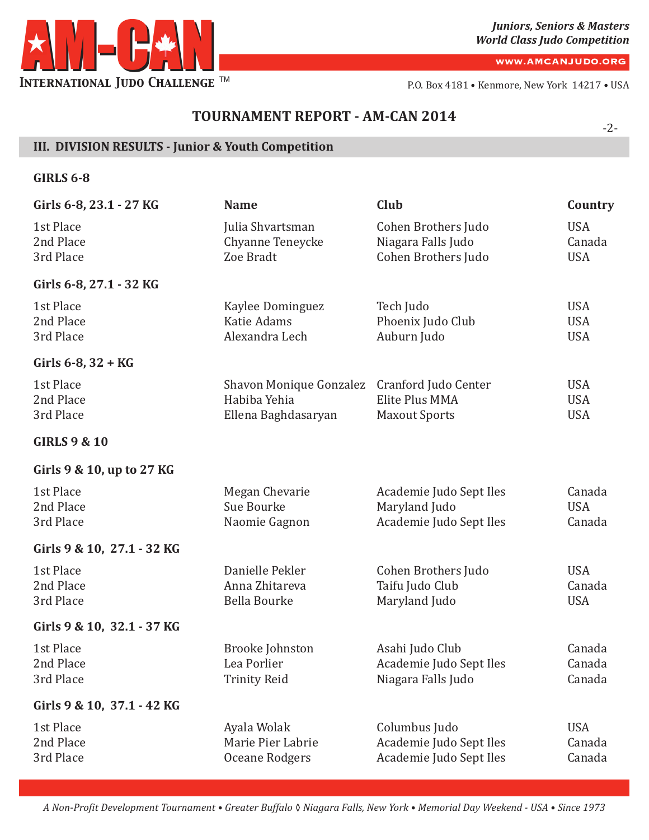

**www.AMCANJUDO.ORG**

P.O. Box 4181 • Kenmore, New York 14217 • USA

## **TOURNAMENT REPORT - AM-CAN 2014**

## **III. DIVISION RESULTS - Junior & Youth Competition**

### **GIRLS 6-8**

| Girls 6-8, 23.1 - 27 KG             | <b>Name</b>                                                    | <b>Club</b>                                                         | Country                                |
|-------------------------------------|----------------------------------------------------------------|---------------------------------------------------------------------|----------------------------------------|
| 1st Place<br>2nd Place<br>3rd Place | Julia Shvartsman<br>Chyanne Teneycke<br>Zoe Bradt              | Cohen Brothers Judo<br>Niagara Falls Judo<br>Cohen Brothers Judo    | <b>USA</b><br>Canada<br><b>USA</b>     |
| Girls 6-8, 27.1 - 32 KG             |                                                                |                                                                     |                                        |
| 1st Place<br>2nd Place<br>3rd Place | Kaylee Dominguez<br><b>Katie Adams</b><br>Alexandra Lech       | Tech Judo<br>Phoenix Judo Club<br>Auburn Judo                       | <b>USA</b><br><b>USA</b><br><b>USA</b> |
| Girls $6-8$ , $32 + KG$             |                                                                |                                                                     |                                        |
| 1st Place<br>2nd Place<br>3rd Place | Shavon Monique Gonzalez<br>Habiba Yehia<br>Ellena Baghdasaryan | Cranford Judo Center<br>Elite Plus MMA<br><b>Maxout Sports</b>      | <b>USA</b><br><b>USA</b><br><b>USA</b> |
| <b>GIRLS 9 &amp; 10</b>             |                                                                |                                                                     |                                        |
| Girls 9 & 10, up to 27 KG           |                                                                |                                                                     |                                        |
| 1st Place<br>2nd Place<br>3rd Place | Megan Chevarie<br>Sue Bourke<br>Naomie Gagnon                  | Academie Judo Sept Iles<br>Maryland Judo<br>Academie Judo Sept Iles | Canada<br><b>USA</b><br>Canada         |
| Girls 9 & 10, 27.1 - 32 KG          |                                                                |                                                                     |                                        |
| 1st Place<br>2nd Place<br>3rd Place | Danielle Pekler<br>Anna Zhitareva<br><b>Bella Bourke</b>       | Cohen Brothers Judo<br>Taifu Judo Club<br>Maryland Judo             | <b>USA</b><br>Canada<br><b>USA</b>     |
| Girls 9 & 10, 32.1 - 37 KG          |                                                                |                                                                     |                                        |
| 1st Place<br>2nd Place<br>3rd Place | <b>Brooke Johnston</b><br>Lea Porlier<br><b>Trinity Reid</b>   | Asahi Judo Club<br>Academie Judo Sept Iles<br>Niagara Falls Judo    | Canada<br>Canada<br>Canada             |
| Girls 9 & 10, 37.1 - 42 KG          |                                                                |                                                                     |                                        |
| 1st Place<br>2nd Place<br>3rd Place | Ayala Wolak<br>Marie Pier Labrie<br>Oceane Rodgers             | Columbus Judo<br>Academie Judo Sept Iles<br>Academie Judo Sept Iles | <b>USA</b><br>Canada<br>Canada         |
|                                     |                                                                |                                                                     |                                        |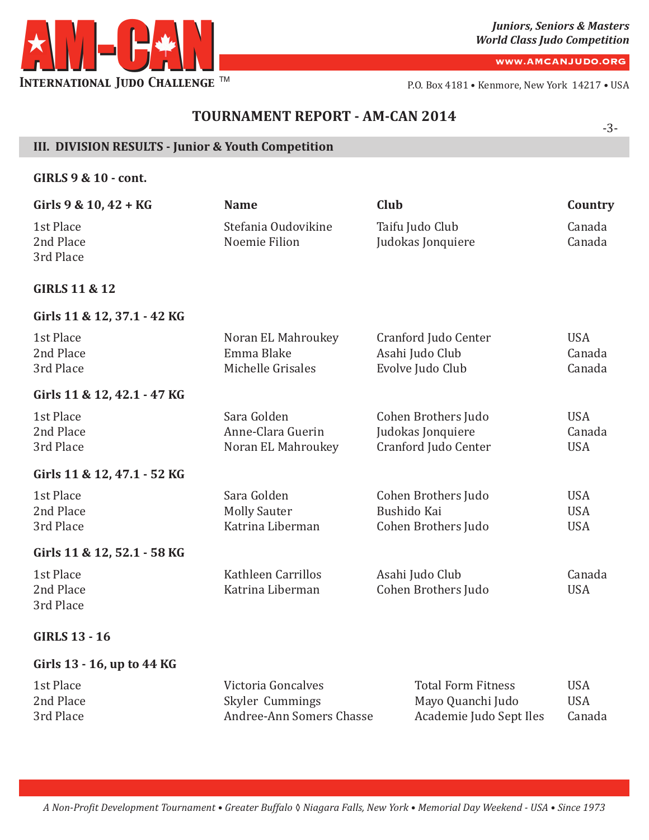

**www.AMCANJUDO.ORG**

-3-

P.O. Box 4181 • Kenmore, New York 14217 • USA

## **TOURNAMENT REPORT - AM-CAN 2014**

## **III. DIVISION RESULTS - Junior & Youth Competition**

## **GIRLS 9 & 10 - cont.**

| Girls 9 & 10, 42 + KG               | <b>Name</b>                                            | <b>Club</b>                                                      | Country                                |
|-------------------------------------|--------------------------------------------------------|------------------------------------------------------------------|----------------------------------------|
| 1st Place<br>2nd Place<br>3rd Place | Stefania Oudovikine<br>Noemie Filion                   | Taifu Judo Club<br>Judokas Jonquiere                             | Canada<br>Canada                       |
| <b>GIRLS 11 &amp; 12</b>            |                                                        |                                                                  |                                        |
| Girls 11 & 12, 37.1 - 42 KG         |                                                        |                                                                  |                                        |
| 1st Place<br>2nd Place<br>3rd Place | Noran EL Mahroukey<br>Emma Blake<br>Michelle Grisales  | Cranford Judo Center<br>Asahi Judo Club<br>Evolve Judo Club      | <b>USA</b><br>Canada<br>Canada         |
| Girls 11 & 12, 42.1 - 47 KG         |                                                        |                                                                  |                                        |
| 1st Place<br>2nd Place<br>3rd Place | Sara Golden<br>Anne-Clara Guerin<br>Noran EL Mahroukey | Cohen Brothers Judo<br>Judokas Jonquiere<br>Cranford Judo Center | <b>USA</b><br>Canada<br><b>USA</b>     |
| Girls 11 & 12, 47.1 - 52 KG         |                                                        |                                                                  |                                        |
| 1st Place<br>2nd Place<br>3rd Place | Sara Golden<br><b>Molly Sauter</b><br>Katrina Liberman | Cohen Brothers Judo<br>Bushido Kai<br>Cohen Brothers Judo        | <b>USA</b><br><b>USA</b><br><b>USA</b> |
| Girls 11 & 12, 52.1 - 58 KG         |                                                        |                                                                  |                                        |
| 1st Place<br>2nd Place<br>3rd Place | Kathleen Carrillos<br>Katrina Liberman                 | Asahi Judo Club<br>Cohen Brothers Judo                           | Canada<br><b>USA</b>                   |
| <b>GIRLS 13 - 16</b>                |                                                        |                                                                  |                                        |
| Girls 13 - 16, up to 44 KG          |                                                        |                                                                  |                                        |

| 1st Place | Victoria Goncalves       | Total Form Fitness      | USA        |
|-----------|--------------------------|-------------------------|------------|
| 2nd Place | Skyler Cummings          | Mayo Quanchi Judo       | <b>USA</b> |
| 3rd Place | Andree-Ann Somers Chasse | Academie Judo Sept Iles | Canada     |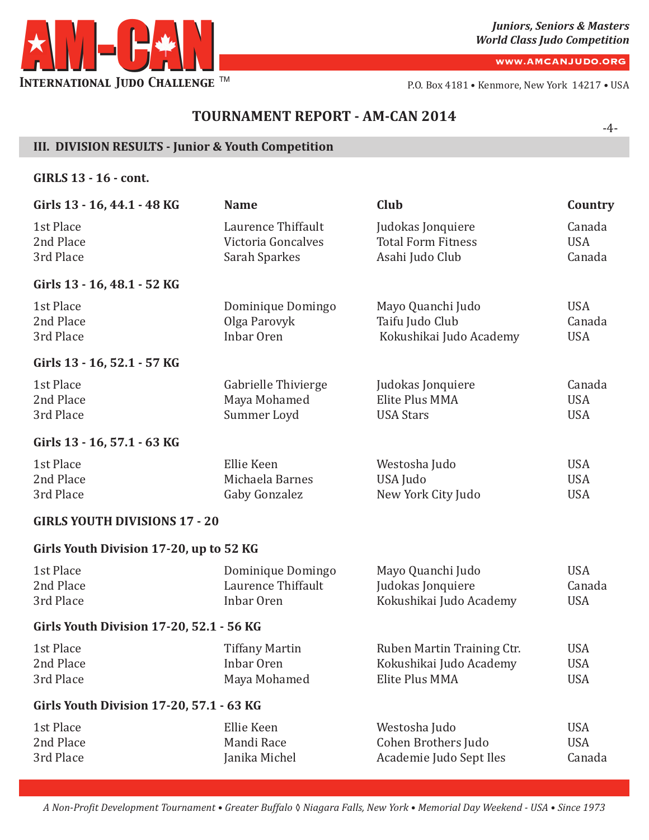

**www.AMCANJUDO.ORG**

P.O. Box 4181 • Kenmore, New York 14217 • USA

## **TOURNAMENT REPORT - AM-CAN 2014**

## **III. DIVISION RESULTS - Junior & Youth Competition**

**GIRLS 13 - 16 - cont.**

| Girls 13 - 16, 44.1 - 48 KG                     | <b>Name</b>                                               | <b>Club</b>                                                             | Country                                |
|-------------------------------------------------|-----------------------------------------------------------|-------------------------------------------------------------------------|----------------------------------------|
| 1st Place<br>2nd Place<br>3rd Place             | Laurence Thiffault<br>Victoria Goncalves<br>Sarah Sparkes | Judokas Jonquiere<br><b>Total Form Fitness</b><br>Asahi Judo Club       | Canada<br><b>USA</b><br>Canada         |
| Girls 13 - 16, 48.1 - 52 KG                     |                                                           |                                                                         |                                        |
| 1st Place<br>2nd Place<br>3rd Place             | Dominique Domingo<br>Olga Parovyk<br>Inbar Oren           | Mayo Quanchi Judo<br>Taifu Judo Club<br>Kokushikai Judo Academy         | <b>USA</b><br>Canada<br><b>USA</b>     |
| Girls 13 - 16, 52.1 - 57 KG                     |                                                           |                                                                         |                                        |
| 1st Place<br>2nd Place<br>3rd Place             | Gabrielle Thivierge<br>Maya Mohamed<br>Summer Loyd        | Judokas Jonquiere<br>Elite Plus MMA<br><b>USA Stars</b>                 | Canada<br><b>USA</b><br><b>USA</b>     |
| Girls 13 - 16, 57.1 - 63 KG                     |                                                           |                                                                         |                                        |
| 1st Place<br>2nd Place<br>3rd Place             | Ellie Keen<br>Michaela Barnes<br>Gaby Gonzalez            | Westosha Judo<br>USA Judo<br>New York City Judo                         | <b>USA</b><br><b>USA</b><br><b>USA</b> |
| <b>GIRLS YOUTH DIVISIONS 17 - 20</b>            |                                                           |                                                                         |                                        |
| Girls Youth Division 17-20, up to 52 KG         |                                                           |                                                                         |                                        |
| 1st Place<br>2nd Place<br>3rd Place             | Dominique Domingo<br>Laurence Thiffault<br>Inbar Oren     | Mayo Quanchi Judo<br>Judokas Jonquiere<br>Kokushikai Judo Academy       | <b>USA</b><br>Canada<br><b>USA</b>     |
| <b>Girls Youth Division 17-20, 52.1 - 56 KG</b> |                                                           |                                                                         |                                        |
| 1st Place<br>2nd Place<br>3rd Place             | <b>Tiffany Martin</b><br>Inbar Oren<br>Maya Mohamed       | Ruben Martin Training Ctr.<br>Kokushikai Judo Academy<br>Elite Plus MMA | <b>USA</b><br><b>USA</b><br><b>USA</b> |
| Girls Youth Division 17-20, 57.1 - 63 KG        |                                                           |                                                                         |                                        |
| 1st Place<br>2nd Place<br>3rd Place             | Ellie Keen<br>Mandi Race<br>Janika Michel                 | Westosha Judo<br>Cohen Brothers Judo<br>Academie Judo Sept Iles         | <b>USA</b><br><b>USA</b><br>Canada     |

A Non-Profit Development Tournament • Greater Buffalo & Niagara Falls, New York • Memorial Day Weekend - USA • Since 1973

-4-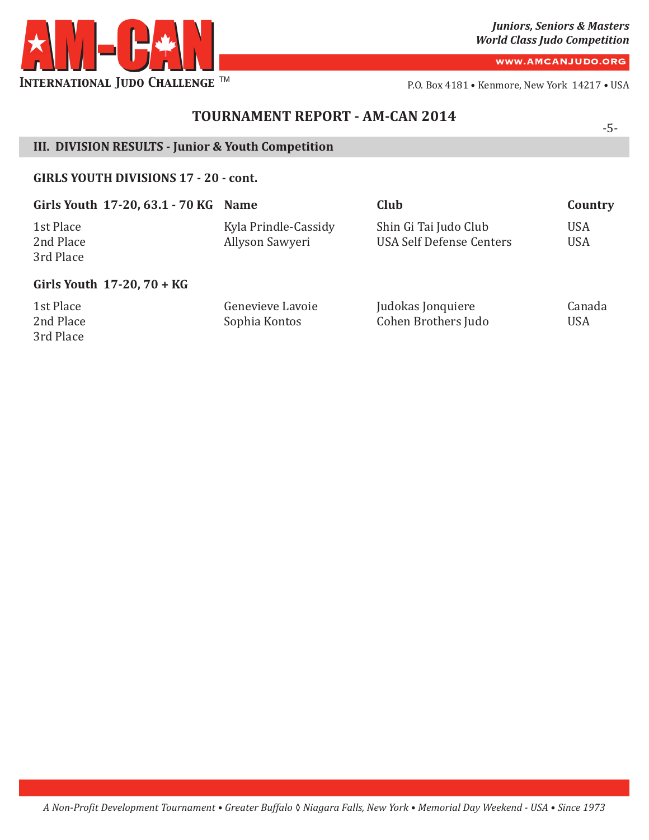

**www.AMCANJUDO.ORG**

P.O. Box 4181 • Kenmore, New York 14217 • USA

## **TOURNAMENT REPORT - AM-CAN 2014**

## **III. DIVISION RESULTS - Junior & Youth Competition**

### **GIRLS YOUTH DIVISIONS 17 - 20 - cont.**

| Girls Youth 17-20, 63.1 - 70 KG Name |                                         | Club                                                     | Country                  |
|--------------------------------------|-----------------------------------------|----------------------------------------------------------|--------------------------|
| 1st Place<br>2nd Place<br>3rd Place  | Kyla Prindle-Cassidy<br>Allyson Sawyeri | Shin Gi Tai Judo Club<br><b>USA Self Defense Centers</b> | <b>USA</b><br><b>USA</b> |
| Girls Youth $17-20$ , $70 + KG$      |                                         |                                                          |                          |

| 1st Place | Genevieve Lavoie | Judokas Jonquiere   | Canada     |
|-----------|------------------|---------------------|------------|
| 2nd Place | Sophia Kontos    | Cohen Brothers Judo | <b>USA</b> |
| 3rd Place |                  |                     |            |

#### -5-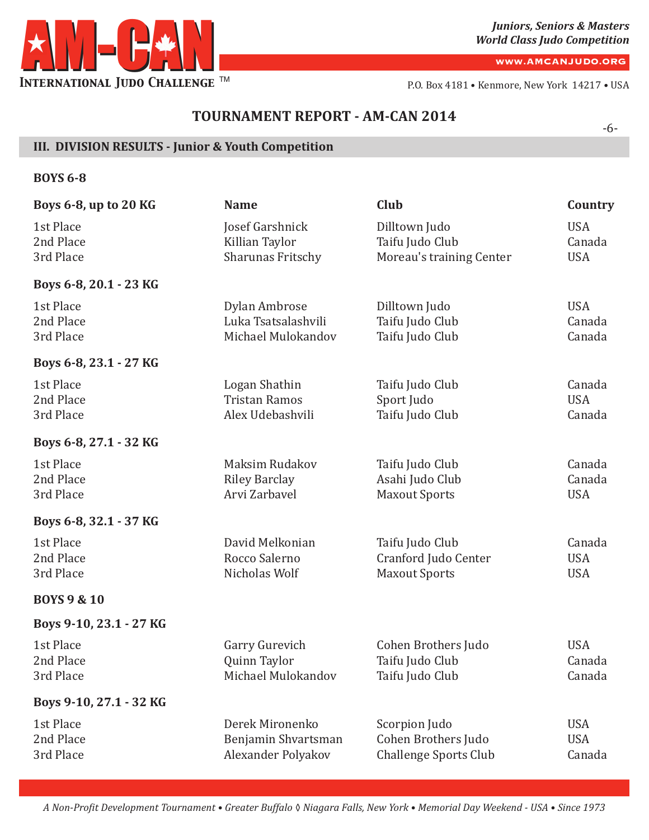

**www.AMCANJUDO.ORG**

P.O. Box 4181 • Kenmore, New York 14217 • USA

## **TOURNAMENT REPORT - AM-CAN 2014**

## **III. DIVISION RESULTS - Junior & Youth Competition**

#### **BOYS 6-8**

| Boys 6-8, up to 20 KG               | <b>Name</b>                                                  | Club                                                                 | Country                            |
|-------------------------------------|--------------------------------------------------------------|----------------------------------------------------------------------|------------------------------------|
| 1st Place<br>2nd Place<br>3rd Place | Josef Garshnick<br>Killian Taylor<br>Sharunas Fritschy       | Dilltown Judo<br>Taifu Judo Club<br>Moreau's training Center         | <b>USA</b><br>Canada<br><b>USA</b> |
| Boys 6-8, 20.1 - 23 KG              |                                                              |                                                                      |                                    |
| 1st Place<br>2nd Place<br>3rd Place | Dylan Ambrose<br>Luka Tsatsalashvili<br>Michael Mulokandov   | Dilltown Judo<br>Taifu Judo Club<br>Taifu Judo Club                  | <b>USA</b><br>Canada<br>Canada     |
| Boys 6-8, 23.1 - 27 KG              |                                                              |                                                                      |                                    |
| 1st Place<br>2nd Place<br>3rd Place | Logan Shathin<br><b>Tristan Ramos</b><br>Alex Udebashvili    | Taifu Judo Club<br>Sport Judo<br>Taifu Judo Club                     | Canada<br><b>USA</b><br>Canada     |
| Boys 6-8, 27.1 - 32 KG              |                                                              |                                                                      |                                    |
| 1st Place<br>2nd Place<br>3rd Place | Maksim Rudakov<br><b>Riley Barclay</b><br>Arvi Zarbavel      | Taifu Judo Club<br>Asahi Judo Club<br><b>Maxout Sports</b>           | Canada<br>Canada<br><b>USA</b>     |
| Boys 6-8, 32.1 - 37 KG              |                                                              |                                                                      |                                    |
| 1st Place<br>2nd Place<br>3rd Place | David Melkonian<br>Rocco Salerno<br>Nicholas Wolf            | Taifu Judo Club<br>Cranford Judo Center<br><b>Maxout Sports</b>      | Canada<br><b>USA</b><br><b>USA</b> |
| <b>BOYS 9 &amp; 10</b>              |                                                              |                                                                      |                                    |
| Boys 9-10, 23.1 - 27 KG             |                                                              |                                                                      |                                    |
| 1st Place<br>2nd Place<br>3rd Place | Garry Gurevich<br>Quinn Taylor<br>Michael Mulokandov         | Cohen Brothers Judo<br>Taifu Judo Club<br>Taifu Judo Club            | <b>USA</b><br>Canada<br>Canada     |
| Boys 9-10, 27.1 - 32 KG             |                                                              |                                                                      |                                    |
| 1st Place<br>2nd Place<br>3rd Place | Derek Mironenko<br>Benjamin Shvartsman<br>Alexander Polyakov | Scorpion Judo<br>Cohen Brothers Judo<br><b>Challenge Sports Club</b> | <b>USA</b><br><b>USA</b><br>Canada |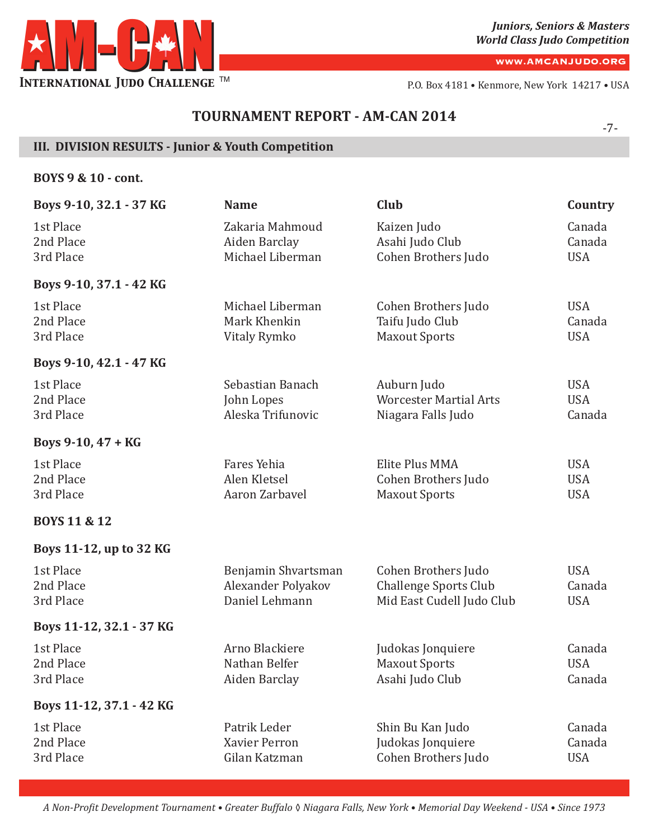

**www.AMCANJUDO.ORG**

P.O. Box 4181 • Kenmore, New York 14217 • USA

## **TOURNAMENT REPORT - AM-CAN 2014**

## **III. DIVISION RESULTS - Junior & Youth Competition**

### **BOYS 9 & 10 - cont.**

| Boys 9-10, 32.1 - 37 KG             | <b>Name</b>                                                 | <b>Club</b>                                                                      | Country                                |
|-------------------------------------|-------------------------------------------------------------|----------------------------------------------------------------------------------|----------------------------------------|
| 1st Place<br>2nd Place<br>3rd Place | Zakaria Mahmoud<br>Aiden Barclay<br>Michael Liberman        | Kaizen Judo<br>Asahi Judo Club<br>Cohen Brothers Judo                            | Canada<br>Canada<br><b>USA</b>         |
| Boys 9-10, 37.1 - 42 KG             |                                                             |                                                                                  |                                        |
| 1st Place<br>2nd Place<br>3rd Place | Michael Liberman<br>Mark Khenkin<br>Vitaly Rymko            | Cohen Brothers Judo<br>Taifu Judo Club<br><b>Maxout Sports</b>                   | <b>USA</b><br>Canada<br><b>USA</b>     |
| Boys 9-10, 42.1 - 47 KG             |                                                             |                                                                                  |                                        |
| 1st Place<br>2nd Place<br>3rd Place | Sebastian Banach<br>John Lopes<br>Aleska Trifunovic         | Auburn Judo<br><b>Worcester Martial Arts</b><br>Niagara Falls Judo               | <b>USA</b><br><b>USA</b><br>Canada     |
| Boys 9-10, 47 + KG                  |                                                             |                                                                                  |                                        |
| 1st Place<br>2nd Place<br>3rd Place | Fares Yehia<br>Alen Kletsel<br>Aaron Zarbavel               | Elite Plus MMA<br>Cohen Brothers Judo<br><b>Maxout Sports</b>                    | <b>USA</b><br><b>USA</b><br><b>USA</b> |
| <b>BOYS 11 &amp; 12</b>             |                                                             |                                                                                  |                                        |
| Boys 11-12, up to 32 KG             |                                                             |                                                                                  |                                        |
| 1st Place<br>2nd Place<br>3rd Place | Benjamin Shvartsman<br>Alexander Polyakov<br>Daniel Lehmann | Cohen Brothers Judo<br><b>Challenge Sports Club</b><br>Mid East Cudell Judo Club | <b>USA</b><br>Canada<br><b>USA</b>     |
| Boys 11-12, 32.1 - 37 KG            |                                                             |                                                                                  |                                        |
| 1st Place<br>2nd Place<br>3rd Place | Arno Blackiere<br>Nathan Belfer<br>Aiden Barclay            | Judokas Jonquiere<br><b>Maxout Sports</b><br>Asahi Judo Club                     | Canada<br><b>USA</b><br>Canada         |
| Boys 11-12, 37.1 - 42 KG            |                                                             |                                                                                  |                                        |
| 1st Place<br>2nd Place<br>3rd Place | Patrik Leder<br>Xavier Perron<br>Gilan Katzman              | Shin Bu Kan Judo<br>Judokas Jonquiere<br>Cohen Brothers Judo                     | Canada<br>Canada<br><b>USA</b>         |

A Non-Profit Development Tournament • Greater Buffalo & Niagara Falls, New York • Memorial Day Weekend - USA • Since 1973

-7-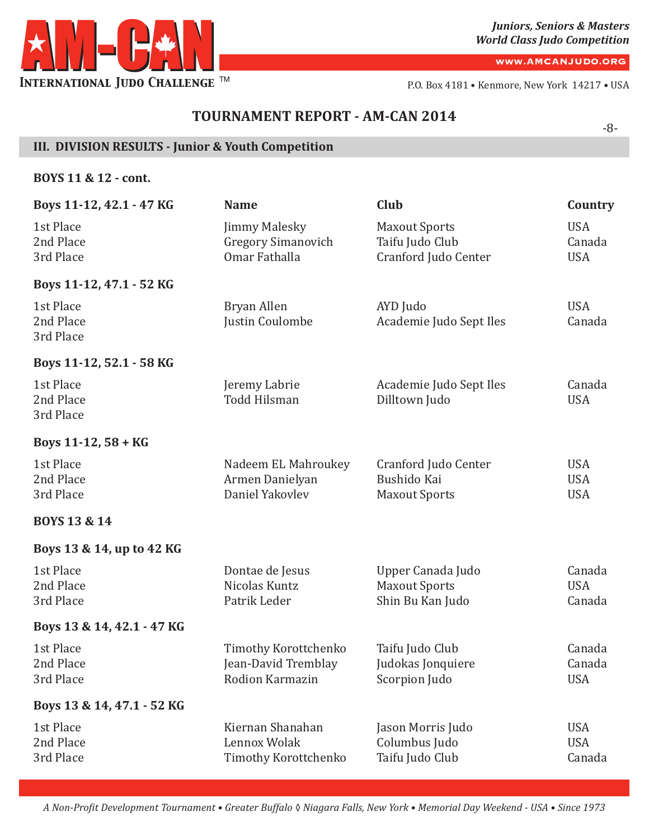

**www.AMCANJUDO.ORG**

P.O. Box 4181 • Kenmore, New York 14217 • USA

## **TOURNAMENT REPORT - AM-CAN 2014**

## **III. DIVISION RESULTS - Junior & Youth Competition**

**BOYS 11 & 12 - cont.**

| Boys 11-12, 42.1 - 47 KG            | <b>Name</b>                                                        | Club                                                            | Country                                |
|-------------------------------------|--------------------------------------------------------------------|-----------------------------------------------------------------|----------------------------------------|
| 1st Place<br>2nd Place<br>3rd Place | <b>Jimmy Malesky</b><br><b>Gregory Simanovich</b><br>Omar Fathalla | <b>Maxout Sports</b><br>Taifu Judo Club<br>Cranford Judo Center | <b>USA</b><br>Canada<br><b>USA</b>     |
| Boys 11-12, 47.1 - 52 KG            |                                                                    |                                                                 |                                        |
| 1st Place<br>2nd Place<br>3rd Place | Bryan Allen<br>Justin Coulombe                                     | AYD Judo<br>Academie Judo Sept Iles                             | <b>USA</b><br>Canada                   |
| Boys 11-12, 52.1 - 58 KG            |                                                                    |                                                                 |                                        |
| 1st Place<br>2nd Place<br>3rd Place | Jeremy Labrie<br><b>Todd Hilsman</b>                               | Academie Judo Sept Iles<br>Dilltown Judo                        | Canada<br><b>USA</b>                   |
| Boys 11-12, 58 + KG                 |                                                                    |                                                                 |                                        |
| 1st Place<br>2nd Place<br>3rd Place | Nadeem EL Mahroukey<br>Armen Danielyan<br>Daniel Yakovlev          | Cranford Judo Center<br>Bushido Kai<br><b>Maxout Sports</b>     | <b>USA</b><br><b>USA</b><br><b>USA</b> |
| BOYS 13 & 14                        |                                                                    |                                                                 |                                        |
| Boys 13 & 14, up to 42 KG           |                                                                    |                                                                 |                                        |
| 1st Place<br>2nd Place<br>3rd Place | Dontae de Jesus<br>Nicolas Kuntz<br>Patrik Leder                   | Upper Canada Judo<br><b>Maxout Sports</b><br>Shin Bu Kan Judo   | Canada<br><b>USA</b><br>Canada         |
| Boys 13 & 14, 42.1 - 47 KG          |                                                                    |                                                                 |                                        |
| 1st Place<br>2nd Place<br>3rd Place | Timothy Korottchenko<br>Jean-David Tremblay<br>Rodion Karmazin     | Taifu Judo Club<br>Judokas Jonquiere<br>Scorpion Judo           | Canada<br>Canada<br><b>USA</b>         |
| Boys 13 & 14, 47.1 - 52 KG          |                                                                    |                                                                 |                                        |
| 1st Place<br>2nd Place<br>3rd Place | Kiernan Shanahan<br>Lennox Wolak<br><b>Timothy Korottchenko</b>    | Jason Morris Judo<br>Columbus Judo<br>Taifu Judo Club           | <b>USA</b><br><b>USA</b><br>Canada     |

-8-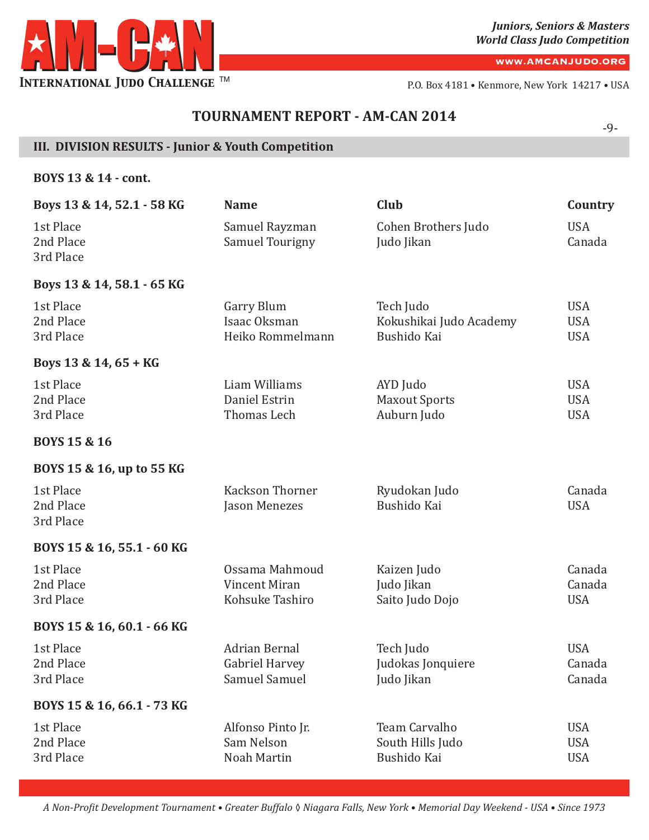

**www.AMCANJUDO.ORG**

P.O. Box 4181 • Kenmore, New York 14217 • USA

## **TOURNAMENT REPORT - AM-CAN 2014**

-9-

## **III. DIVISION RESULTS - Junior & Youth Competition**

**BOYS 13 & 14 - cont.**

| Boys 13 & 14, 52.1 - 58 KG          | <b>Name</b>                                                    | <b>Club</b>                                         | Country                                |
|-------------------------------------|----------------------------------------------------------------|-----------------------------------------------------|----------------------------------------|
| 1st Place<br>2nd Place<br>3rd Place | Samuel Rayzman<br><b>Samuel Tourigny</b>                       | Cohen Brothers Judo<br>Judo Jikan                   | <b>USA</b><br>Canada                   |
| Boys 13 & 14, 58.1 - 65 KG          |                                                                |                                                     |                                        |
| 1st Place<br>2nd Place<br>3rd Place | Garry Blum<br>Isaac Oksman<br>Heiko Rommelmann                 | Tech Judo<br>Kokushikai Judo Academy<br>Bushido Kai | <b>USA</b><br><b>USA</b><br><b>USA</b> |
| Boys 13 & 14, 65 + KG               |                                                                |                                                     |                                        |
| 1st Place<br>2nd Place<br>3rd Place | Liam Williams<br>Daniel Estrin<br>Thomas Lech                  | AYD Judo<br><b>Maxout Sports</b><br>Auburn Judo     | <b>USA</b><br><b>USA</b><br><b>USA</b> |
| <b>BOYS 15 &amp; 16</b>             |                                                                |                                                     |                                        |
| BOYS 15 & 16, up to 55 KG           |                                                                |                                                     |                                        |
| 1st Place<br>2nd Place<br>3rd Place | <b>Kackson Thorner</b><br>Jason Menezes                        | Ryudokan Judo<br>Bushido Kai                        | Canada<br><b>USA</b>                   |
| BOYS 15 & 16, 55.1 - 60 KG          |                                                                |                                                     |                                        |
| 1st Place<br>2nd Place<br>3rd Place | Ossama Mahmoud<br><b>Vincent Miran</b><br>Kohsuke Tashiro      | Kaizen Judo<br>Judo Jikan<br>Saito Judo Dojo        | Canada<br>Canada<br><b>USA</b>         |
| BOYS 15 & 16, 60.1 - 66 KG          |                                                                |                                                     |                                        |
| 1st Place<br>2nd Place<br>3rd Place | <b>Adrian Bernal</b><br><b>Gabriel Harvey</b><br>Samuel Samuel | Tech Judo<br>Judokas Jonquiere<br>Judo Jikan        | <b>USA</b><br>Canada<br>Canada         |
| BOYS 15 & 16, 66.1 - 73 KG          |                                                                |                                                     |                                        |
| 1st Place<br>2nd Place<br>3rd Place | Alfonso Pinto Jr.<br>Sam Nelson<br>Noah Martin                 | Team Carvalho<br>South Hills Judo<br>Bushido Kai    | <b>USA</b><br><b>USA</b><br><b>USA</b> |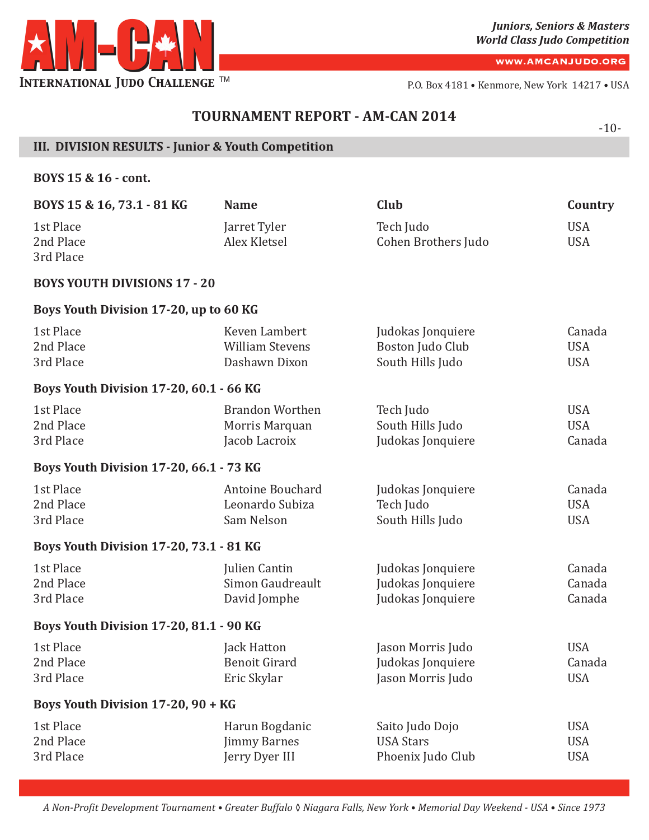

**www.AMCANJUDO.ORG**

P.O. Box 4181 • Kenmore, New York 14217 • USA

## **TOURNAMENT REPORT - AM-CAN 2014**

-10-

## **III. DIVISION RESULTS - Junior & Youth Competition**

**BOYS 15 & 16 - cont.**

| BOYS 15 & 16, 73.1 - 81 KG                     | <b>Name</b>                                               | <b>Club</b>                                                 | Country                                |
|------------------------------------------------|-----------------------------------------------------------|-------------------------------------------------------------|----------------------------------------|
| 1st Place<br>2nd Place<br>3rd Place            | Jarret Tyler<br>Alex Kletsel                              | Tech Judo<br>Cohen Brothers Judo                            | <b>USA</b><br><b>USA</b>               |
| <b>BOYS YOUTH DIVISIONS 17 - 20</b>            |                                                           |                                                             |                                        |
| Boys Youth Division 17-20, up to 60 KG         |                                                           |                                                             |                                        |
| 1st Place<br>2nd Place<br>3rd Place            | Keven Lambert<br><b>William Stevens</b><br>Dashawn Dixon  | Judokas Jonquiere<br>Boston Judo Club<br>South Hills Judo   | Canada<br><b>USA</b><br><b>USA</b>     |
| <b>Boys Youth Division 17-20, 60.1 - 66 KG</b> |                                                           |                                                             |                                        |
| 1st Place<br>2nd Place<br>3rd Place            | <b>Brandon Worthen</b><br>Morris Marquan<br>Jacob Lacroix | Tech Judo<br>South Hills Judo<br>Judokas Jonquiere          | <b>USA</b><br><b>USA</b><br>Canada     |
| <b>Boys Youth Division 17-20, 66.1 - 73 KG</b> |                                                           |                                                             |                                        |
| 1st Place<br>2nd Place<br>3rd Place            | <b>Antoine Bouchard</b><br>Leonardo Subiza<br>Sam Nelson  | Judokas Jonquiere<br>Tech Judo<br>South Hills Judo          | Canada<br><b>USA</b><br><b>USA</b>     |
| <b>Boys Youth Division 17-20, 73.1 - 81 KG</b> |                                                           |                                                             |                                        |
| 1st Place<br>2nd Place<br>3rd Place            | Julien Cantin<br>Simon Gaudreault<br>David Jomphe         | Judokas Jonquiere<br>Judokas Jonquiere<br>Judokas Jonquiere | Canada<br>Canada<br>Canada             |
| <b>Boys Youth Division 17-20, 81.1 - 90 KG</b> |                                                           |                                                             |                                        |
| 1st Place<br>2nd Place<br>3rd Place            | Jack Hatton<br><b>Benoit Girard</b><br>Eric Skylar        | Jason Morris Judo<br>Judokas Jonquiere<br>Jason Morris Judo | <b>USA</b><br>Canada<br><b>USA</b>     |
| Boys Youth Division 17-20, 90 + KG             |                                                           |                                                             |                                        |
| 1st Place<br>2nd Place<br>3rd Place            | Harun Bogdanic<br><b>Jimmy Barnes</b><br>Jerry Dyer III   | Saito Judo Dojo<br><b>USA Stars</b><br>Phoenix Judo Club    | <b>USA</b><br><b>USA</b><br><b>USA</b> |
|                                                |                                                           |                                                             |                                        |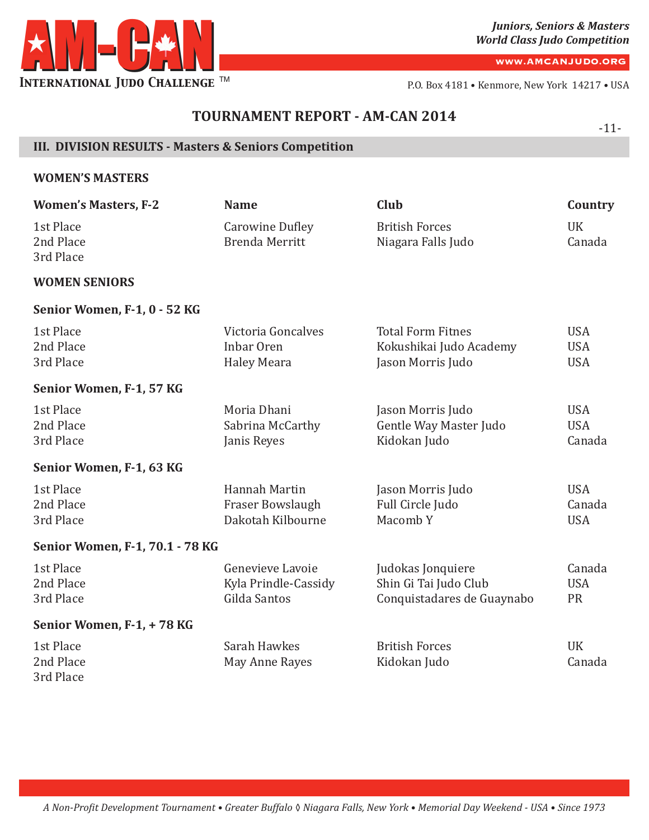

**www.AMCANJUDO.ORG**

P.O. Box 4181 • Kenmore, New York 14217 • USA

## **TOURNAMENT REPORT - AM-CAN 2014**

-11-

## **III. DIVISION RESULTS - Masters & Seniors Competition**

## **WOMEN'S MASTERS**

| <b>Women's Masters, F-2</b>         | <b>Name</b>                                                   | Club                                                                     | Country                                |
|-------------------------------------|---------------------------------------------------------------|--------------------------------------------------------------------------|----------------------------------------|
| 1st Place<br>2nd Place<br>3rd Place | <b>Carowine Dufley</b><br><b>Brenda Merritt</b>               | <b>British Forces</b><br>Niagara Falls Judo                              | <b>UK</b><br>Canada                    |
| <b>WOMEN SENIORS</b>                |                                                               |                                                                          |                                        |
| Senior Women, F-1, 0 - 52 KG        |                                                               |                                                                          |                                        |
| 1st Place<br>2nd Place<br>3rd Place | Victoria Goncalves<br>Inbar Oren<br><b>Haley Meara</b>        | <b>Total Form Fitnes</b><br>Kokushikai Judo Academy<br>Jason Morris Judo | <b>USA</b><br><b>USA</b><br><b>USA</b> |
| Senior Women, F-1, 57 KG            |                                                               |                                                                          |                                        |
| 1st Place<br>2nd Place<br>3rd Place | Moria Dhani<br>Sabrina McCarthy<br>Janis Reyes                | Jason Morris Judo<br>Gentle Way Master Judo<br>Kidokan Judo              | <b>USA</b><br><b>USA</b><br>Canada     |
| Senior Women, F-1, 63 KG            |                                                               |                                                                          |                                        |
| 1st Place<br>2nd Place<br>3rd Place | Hannah Martin<br><b>Fraser Bowslaugh</b><br>Dakotah Kilbourne | Jason Morris Judo<br>Full Circle Judo<br>Macomb Y                        | <b>USA</b><br>Canada<br><b>USA</b>     |
| Senior Women, F-1, 70.1 - 78 KG     |                                                               |                                                                          |                                        |
| 1st Place<br>2nd Place<br>3rd Place | Genevieve Lavoie<br>Kyla Prindle-Cassidy<br>Gilda Santos      | Judokas Jonquiere<br>Shin Gi Tai Judo Club<br>Conquistadares de Guaynabo | Canada<br><b>USA</b><br><b>PR</b>      |
| Senior Women, F-1, +78 KG           |                                                               |                                                                          |                                        |
| 1st Place<br>2nd Place<br>3rd Place | Sarah Hawkes<br>May Anne Rayes                                | <b>British Forces</b><br>Kidokan Judo                                    | <b>UK</b><br>Canada                    |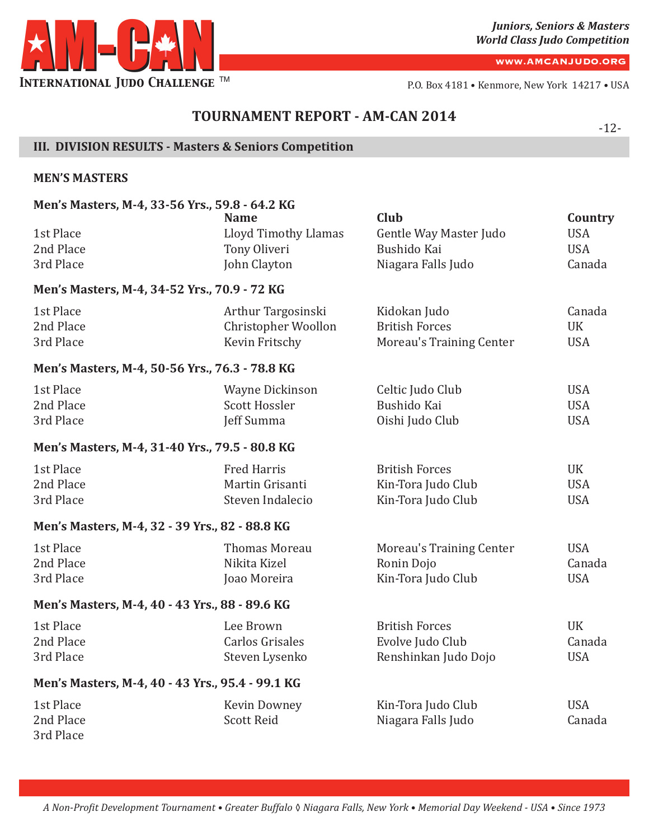

**www.AMCANJUDO.ORG**

P.O. Box 4181 • Kenmore, New York 14217 • USA

## **TOURNAMENT REPORT - AM-CAN 2014**

-12-

## **III. DIVISION RESULTS - Masters & Seniors Competition**

### **MEN'S MASTERS**

| Men's Masters, M-4, 33-56 Yrs., 59.8 - 64.2 KG<br><b>Name</b> | <b>Club</b>                                                                                                                                                                                                                                                                                                                      | Country                |
|---------------------------------------------------------------|----------------------------------------------------------------------------------------------------------------------------------------------------------------------------------------------------------------------------------------------------------------------------------------------------------------------------------|------------------------|
|                                                               |                                                                                                                                                                                                                                                                                                                                  | <b>USA</b>             |
| Tony Oliveri                                                  | Bushido Kai                                                                                                                                                                                                                                                                                                                      | <b>USA</b>             |
| John Clayton                                                  | Niagara Falls Judo                                                                                                                                                                                                                                                                                                               | Canada                 |
|                                                               |                                                                                                                                                                                                                                                                                                                                  |                        |
| Arthur Targosinski                                            | Kidokan Judo                                                                                                                                                                                                                                                                                                                     | Canada                 |
| Christopher Woollon                                           | <b>British Forces</b>                                                                                                                                                                                                                                                                                                            | <b>UK</b>              |
| Kevin Fritschy                                                | Moreau's Training Center                                                                                                                                                                                                                                                                                                         | <b>USA</b>             |
|                                                               |                                                                                                                                                                                                                                                                                                                                  |                        |
| Wayne Dickinson                                               | Celtic Judo Club                                                                                                                                                                                                                                                                                                                 | <b>USA</b>             |
| <b>Scott Hossler</b>                                          | Bushido Kai                                                                                                                                                                                                                                                                                                                      | <b>USA</b>             |
| Jeff Summa                                                    | Oishi Judo Club                                                                                                                                                                                                                                                                                                                  | <b>USA</b>             |
|                                                               |                                                                                                                                                                                                                                                                                                                                  |                        |
| <b>Fred Harris</b>                                            | <b>British Forces</b>                                                                                                                                                                                                                                                                                                            | UK                     |
| Martin Grisanti                                               | Kin-Tora Judo Club                                                                                                                                                                                                                                                                                                               | <b>USA</b>             |
| Steven Indalecio                                              | Kin-Tora Judo Club                                                                                                                                                                                                                                                                                                               | <b>USA</b>             |
|                                                               |                                                                                                                                                                                                                                                                                                                                  |                        |
| <b>Thomas Moreau</b>                                          | <b>Moreau's Training Center</b>                                                                                                                                                                                                                                                                                                  | <b>USA</b>             |
| Nikita Kizel                                                  | Ronin Dojo                                                                                                                                                                                                                                                                                                                       | Canada                 |
| Joao Moreira                                                  | Kin-Tora Judo Club                                                                                                                                                                                                                                                                                                               | <b>USA</b>             |
|                                                               |                                                                                                                                                                                                                                                                                                                                  |                        |
| Lee Brown                                                     | <b>British Forces</b>                                                                                                                                                                                                                                                                                                            | <b>UK</b>              |
| <b>Carlos Grisales</b>                                        | Evolve Judo Club                                                                                                                                                                                                                                                                                                                 | Canada                 |
| Steven Lysenko                                                | Renshinkan Judo Dojo                                                                                                                                                                                                                                                                                                             | <b>USA</b>             |
|                                                               |                                                                                                                                                                                                                                                                                                                                  |                        |
| Kevin Downey                                                  | Kin-Tora Judo Club                                                                                                                                                                                                                                                                                                               | <b>USA</b>             |
| <b>Scott Reid</b>                                             | Niagara Falls Judo                                                                                                                                                                                                                                                                                                               | Canada                 |
|                                                               |                                                                                                                                                                                                                                                                                                                                  |                        |
|                                                               | Lloyd Timothy Llamas<br>Men's Masters, M-4, 34-52 Yrs., 70.9 - 72 KG<br>Men's Masters, M-4, 50-56 Yrs., 76.3 - 78.8 KG<br>Men's Masters, M-4, 31-40 Yrs., 79.5 - 80.8 KG<br>Men's Masters, M-4, 32 - 39 Yrs., 82 - 88.8 KG<br>Men's Masters, M-4, 40 - 43 Yrs., 88 - 89.6 KG<br>Men's Masters, M-4, 40 - 43 Yrs., 95.4 - 99.1 KG | Gentle Way Master Judo |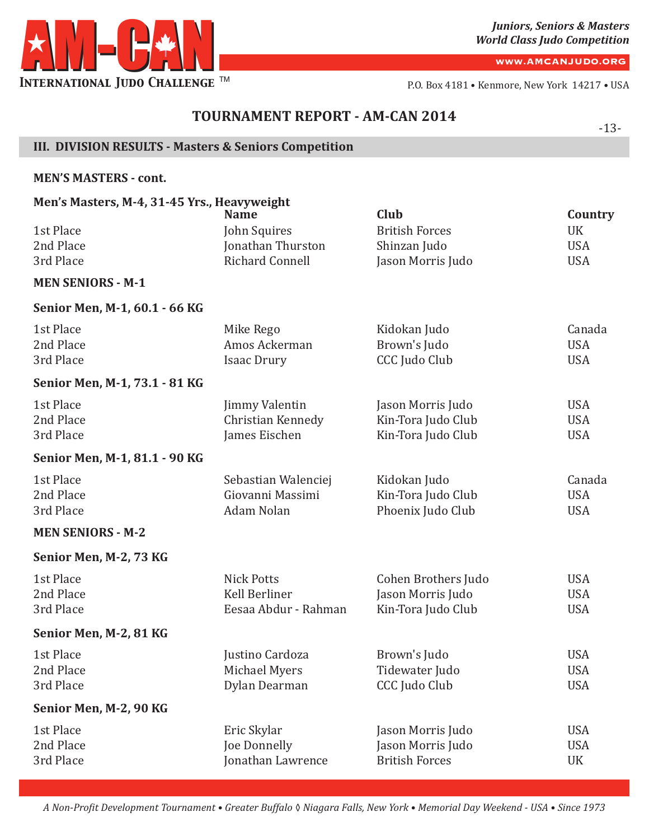

**www.AMCANJUDO.ORG**

P.O. Box 4181 • Kenmore, New York 14217 • USA

## **TOURNAMENT REPORT - AM-CAN 2014**

-13-

## **III. DIVISION RESULTS - Masters & Seniors Competition**

### **MEN'S MASTERS - cont.**

| Men's Masters, M-4, 31-45 Yrs., Heavyweight |                        |                       |            |
|---------------------------------------------|------------------------|-----------------------|------------|
|                                             | <b>Name</b>            | Club                  | Country    |
| 1st Place                                   | John Squires           | <b>British Forces</b> | UK         |
| 2nd Place                                   | Jonathan Thurston      | Shinzan Judo          | <b>USA</b> |
| 3rd Place                                   | <b>Richard Connell</b> | Jason Morris Judo     | <b>USA</b> |
| <b>MEN SENIORS - M-1</b>                    |                        |                       |            |
| Senior Men, M-1, 60.1 - 66 KG               |                        |                       |            |
| 1st Place                                   | Mike Rego              | Kidokan Judo          | Canada     |
| 2nd Place                                   | Amos Ackerman          | Brown's Judo          | <b>USA</b> |
| 3rd Place                                   | <b>Isaac Drury</b>     | <b>CCC</b> Judo Club  | <b>USA</b> |
| Senior Men, M-1, 73.1 - 81 KG               |                        |                       |            |
| 1st Place                                   | Jimmy Valentin         | Jason Morris Judo     | <b>USA</b> |
| 2nd Place                                   | Christian Kennedy      | Kin-Tora Judo Club    | <b>USA</b> |
| 3rd Place                                   | James Eischen          | Kin-Tora Judo Club    | <b>USA</b> |
|                                             |                        |                       |            |
| Senior Men, M-1, 81.1 - 90 KG               |                        |                       |            |
| 1st Place                                   | Sebastian Walenciej    | Kidokan Judo          | Canada     |
| 2nd Place                                   | Giovanni Massimi       | Kin-Tora Judo Club    | <b>USA</b> |
| 3rd Place                                   | Adam Nolan             | Phoenix Judo Club     | <b>USA</b> |
| <b>MEN SENIORS - M-2</b>                    |                        |                       |            |
| Senior Men, M-2, 73 KG                      |                        |                       |            |
| 1st Place                                   | <b>Nick Potts</b>      | Cohen Brothers Judo   | <b>USA</b> |
| 2nd Place                                   | Kell Berliner          | Jason Morris Judo     | <b>USA</b> |
| 3rd Place                                   | Eesaa Abdur - Rahman   | Kin-Tora Judo Club    | <b>USA</b> |
|                                             |                        |                       |            |
| Senior Men, M-2, 81 KG                      |                        |                       |            |
| 1st Place                                   | Justino Cardoza        | Brown's Judo          | <b>USA</b> |
| 2nd Place                                   | Michael Myers          | Tidewater Judo        | <b>USA</b> |
| 3rd Place                                   | Dylan Dearman          | <b>CCC</b> Judo Club  | <b>USA</b> |
| Senior Men, M-2, 90 KG                      |                        |                       |            |
| 1st Place                                   | Eric Skylar            | Jason Morris Judo     | <b>USA</b> |
| 2nd Place                                   | Joe Donnelly           | Jason Morris Judo     | <b>USA</b> |
| 3rd Place                                   | Jonathan Lawrence      | <b>British Forces</b> | UK         |
|                                             |                        |                       |            |